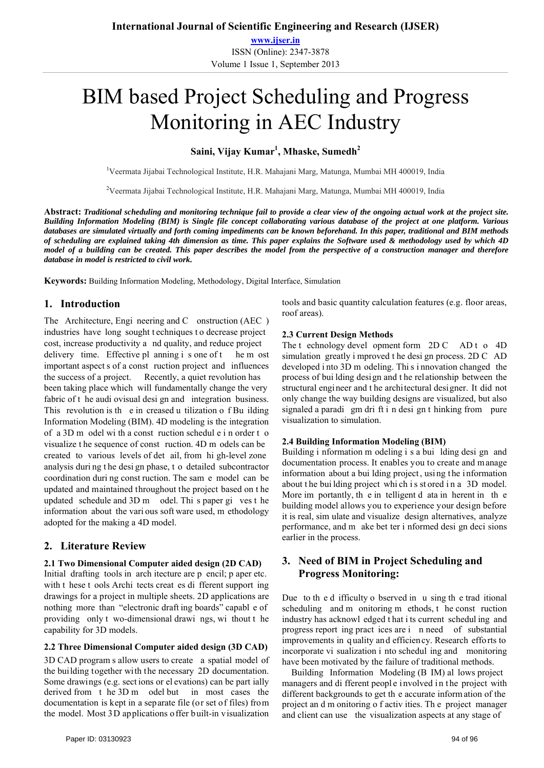**www.ijser.in** ISSN (Online): 2347-3878 Volume 1 Issue 1, September 2013

# BIM based Project Scheduling and Progress Monitoring in AEC Industry

**Saini, Vijay Kumar1 , Mhaske, Sumedh<sup>2</sup>**

<sup>1</sup>Veermata Jijabai Technological Institute, H.R. Mahajani Marg, Matunga, Mumbai MH 400019, India

<sup>2</sup>Veermata Jijabai Technological Institute, H.R. Mahajani Marg, Matunga, Mumbai MH 400019, India

**Abstract:** *Traditional scheduling and monitoring technique fail to provide a clear view of the ongoing actual work at the project site. Building Information Modeling (BIM) is Single file concept collaborating various database of the project at one platform. Various databases are simulated virtually and forth coming impediments can be known beforehand. In this paper, traditional and BIM methods of scheduling are explained taking 4th dimension as time. This paper explains the Software used & methodology used by which 4D model of a building can be created. This paper describes the model from the perspective of a construction manager and therefore database in model is restricted to civil work.*

**Keywords:** Building Information Modeling, Methodology, Digital Interface, Simulation

## **1. Introduction**

The Architecture, Engi neering and C onstruction (AEC ) industries have long sought t echniques to decrease project cost, increase productivity a nd quality, and reduce project delivery time. Effective pl anning i s one of t he m ost important aspect s of a const ruction project and influences the success of a project. Recently, a quiet revolution has been taking place which will fundamentally change the very fabric of t he audi ovisual desi gn and integration business. This revolution is th e in creased u tilization o f Bu ilding Information Modeling (BIM). 4D modeling is the integration of a 3D m odel wi th a const ruction schedul e i n order t o visualize t he sequence of const ruction. 4D m odels can be created to various levels of det ail, from hi gh-level zone analysis duri ng t he desi gn phase, t o detailed subcontractor coordination duri ng const ruction. The sam e model can be updated and maintained throughout the project based on t he updated schedule and 3D m odel. Thi s paper gi ves t he information about the vari ous soft ware used, m ethodology adopted for the making a 4D model.

## **2. Literature Review**

#### **2.1 Two Dimensional Computer aided design (2D CAD)**

Initial drafting tools in arch itecture are p encil; p aper etc. with t hese t ools Archi tects creat es di fferent support ing drawings for a project in multiple sheets. 2D applications are nothing more than "electronic draft ing boards" capabl e of providing only t wo-dimensional drawi ngs, wi thout t he capability for 3D models.

#### **2.2 Three Dimensional Computer aided design (3D CAD)**

3D CAD program s allow users to create a spatial model of the building together with the necessary 2D documentation. Some drawings (e.g. sect ions or el evations) can be part ially derived from t he 3D m odel but in most cases the documentation is kept in a separate file (or set of files) from the model. Most 3D applications offer built-in visualization

tools and basic quantity calculation features (e.g. floor areas, roof areas).

#### **2.3 Current Design Methods**

The t echnology devel opment form 2D C AD t o 4D simulation greatly i mproved t he desi gn process. 2D C AD developed i nto 3D m odeling. Thi s i nnovation changed the process of bui lding design and t he relationship between the structural engineer and t he architectural designer. It did not only change the way building designs are visualized, but also signaled a paradi gm dri ft i n desi gn t hinking from pure visualization to simulation.

#### **2.4 Building Information Modeling (BIM)**

Building i nformation m odeling i s a bui lding desi gn and documentation process. It enables you to create and manage information about a bui lding project , usi ng t he i nformation about t he bui lding project whi ch i s st ored i n a 3D model. More im portantly, th e in telligent d ata in herent in th e building model allows you to experience your design before it is real, sim ulate and visualize design alternatives, analyze performance, and m ake bet ter i nformed desi gn deci sions earlier in the process.

### **3. Need of BIM in Project Scheduling and Progress Monitoring:**

Due to th e d ifficulty o bserved in u sing th e trad itional scheduling and m onitoring m ethods, t he const ruction industry has acknowl edged t hat i ts current schedul ing and progress report ing pract ices are i n need of substantial improvements in quality and efficiency. Research efforts to incorporate vi sualization i nto schedul ing and monitoring have been motivated by the failure of traditional methods.

Building Information Modeling (B IM) al lows project managers and di fferent people i nvolved in the project with different backgrounds to get th e accurate inform ation of the project an d m onitoring o f activ ities. Th e project manager and client can use the visualization aspects at any stage of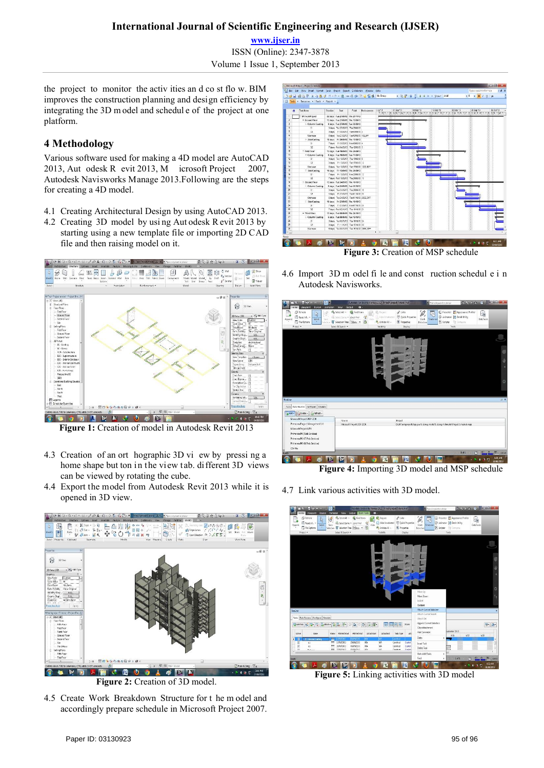# **International Journal of Scientific Engineering and Research (IJSER)**

**www.ijser.in** ISSN (Online): 2347-3878 Volume 1 Issue 1, September 2013

the project to monitor the activ ities an d co st flo w. BIM improves the construction planning and design efficiency by integrating the 3D m odel and schedul e of the project at one platform.

# **4 Methodology**

Various software used for making a 4D model are AutoCAD 2013, Aut odesk R evit 2013, M icrosoft Project 2007, Autodesk Navisworks Manage 2013.Following are the steps for creating a 4D model.

- 4.1 Creating Architectural Design by using AutoCAD 2013.
- 4.2 Creating 3D model by usi ng Aut odesk R evit 2013 by starting using a new template file or importing 2D CAD file and then raising model on it.



**Figure 1:** Creation of model in Autodesk Revit 2013

- 4.3 Creation of an ort hographic 3D vi ew by pressi ng a home shape but ton in the view tab. different 3D views can be viewed by rotating the cube.
- 4.4 Export the model from Autodesk Revit 2013 while it is opened in 3D view.



**Figure 2:** Creation of 3D model.

4.5 Create Work Breakdown Structure for t he m odel and accordingly prepare schedule in Microsoft Project 2007.



4.6 Import 3D m odel fi le and const ruction schedul e i n Autodesk Navisworks.



**Figure 4:** Importing 3D model and MSP schedule

4.7 Link various activities with 3D model.



**Figure 5:** Linking activities with 3D model